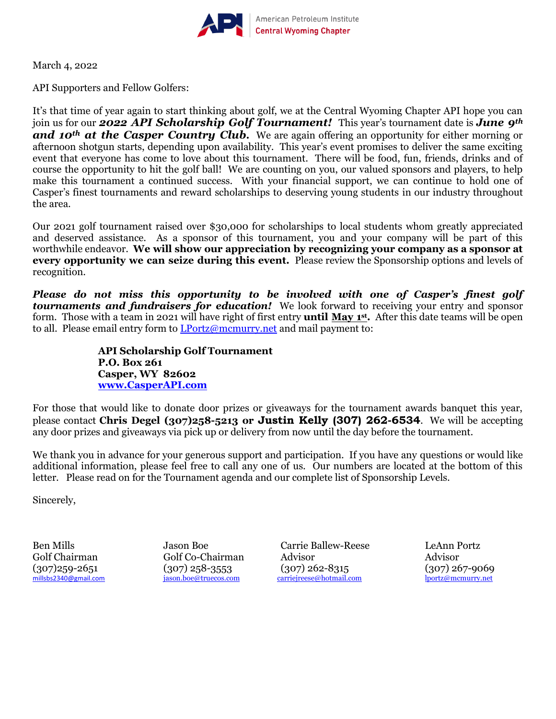

March 4, 2022

API Supporters and Fellow Golfers:

It's that time of year again to start thinking about golf, we at the Central Wyoming Chapter API hope you can join us for our *2022 API Scholarship Golf Tournament!* This year's tournament date is *June 9th and* 10<sup>th</sup> **at the Casper Country Club.** We are again offering an opportunity for either morning or afternoon shotgun starts, depending upon availability. This year's event promises to deliver the same exciting event that everyone has come to love about this tournament. There will be food, fun, friends, drinks and of course the opportunity to hit the golf ball! We are counting on you, our valued sponsors and players, to help make this tournament a continued success. With your financial support, we can continue to hold one of Casper's finest tournaments and reward scholarships to deserving young students in our industry throughout the area.

Our 2021 golf tournament raised over \$30,000 for scholarships to local students whom greatly appreciated and deserved assistance. As a sponsor of this tournament, you and your company will be part of this worthwhile endeavor. **We will show our appreciation by recognizing your company as a sponsor at every opportunity we can seize during this event.** Please review the Sponsorship options and levels of recognition.

*Please do not miss this opportunity to be involved with one of Casper's finest golf tournaments and fundraisers for education!* We look forward to receiving your entry and sponsor form. Those with a team in 2021 will have right of first entry **until May 1 st .** After this date teams will be open to all. Please email entry form to [LPortz@mcmurry.net](mailto:LPortz@mcmurry.net) and mail payment to:

> **API Scholarship Golf Tournament P.O. Box 261 Casper, WY 82602 [www.CasperAPI.com](http://www.casperapi.com/)**

For those that would like to donate door prizes or giveaways for the tournament awards banquet this year, please contact **Chris Degel (307)258-5213 or Justin Kelly (307) 262-6534**. We will be accepting any door prizes and giveaways via pick up or delivery from now until the day before the tournament.

We thank you in advance for your generous support and participation. If you have any questions or would like additional information, please feel free to call any one of us. Our numbers are located at the bottom of this letter. Please read on for the Tournament agenda and our complete list of Sponsorship Levels.

Sincerely,

Ben Mills Jason Boe Carrie Ballew-Reese LeAnn Portz Golf Chairman Golf Co-Chairman Advisor Advisor  $(307)$ 259-2651  $(307)$ 258-3553  $(307)$ 262-8315  $(307)$ 267-9069 millsbs2340@gmail.com isson.boe@truecos.com carriejreese@hotmail.com lportz@mcmurry.net [carriejreese@hotmail.com](mailto:carriejreese@hotmail.com)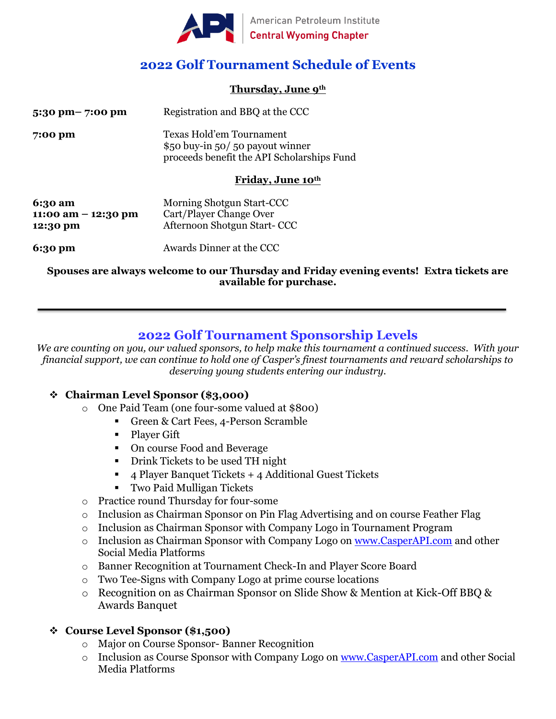

# **2022 Golf Tournament Schedule of Events**

#### **Thursday, June 9th**

| $5:30 \text{ pm} - 7:00 \text{ pm}$ | Registration and BBQ at the CCC                                                                           |
|-------------------------------------|-----------------------------------------------------------------------------------------------------------|
| 7:00 pm                             | Texas Hold'em Tournament<br>\$50 buy-in 50/50 payout winner<br>proceeds benefit the API Scholarships Fund |

#### **Friday, June 10th**

| 6:30 am               | Morning Shotgun Start-CCC   |
|-----------------------|-----------------------------|
| 11:00 am $-$ 12:30 pm | Cart/Player Change Over     |
| 12:30 pm              | Afternoon Shotgun Start-CCC |
|                       |                             |

**6:30 pm** Awards Dinner at the CCC

**Spouses are always welcome to our Thursday and Friday evening events! Extra tickets are available for purchase.**

# **2022 Golf Tournament Sponsorship Levels**

*We are counting on you, our valued sponsors, to help make this tournament a continued success. With your financial support, we can continue to hold one of Casper's finest tournaments and reward scholarships to deserving young students entering our industry.* 

### ❖ **Chairman Level Sponsor (\$3,000)**

- o One Paid Team (one four-some valued at \$800)
	- Green & Cart Fees, 4-Person Scramble
	- **•** Player Gift
	- On course Food and Beverage
	- **•** Drink Tickets to be used TH night
	- 4 Player Banquet Tickets + 4 Additional Guest Tickets
	- Two Paid Mulligan Tickets
- o Practice round Thursday for four-some
- o Inclusion as Chairman Sponsor on Pin Flag Advertising and on course Feather Flag
- o Inclusion as Chairman Sponsor with Company Logo in Tournament Program
- o Inclusion as Chairman Sponsor with Company Logo on [www.CasperAPI.com](http://www.casperapi.com/) and other Social Media Platforms
- o Banner Recognition at Tournament Check-In and Player Score Board
- o Two Tee-Signs with Company Logo at prime course locations
- o Recognition on as Chairman Sponsor on Slide Show & Mention at Kick-Off BBQ & Awards Banquet

### ❖ **Course Level Sponsor (\$1,500)**

- o Major on Course Sponsor- Banner Recognition
- o Inclusion as Course Sponsor with Company Logo on [www.CasperAPI.com](http://www.casperapi.com/) and other Social Media Platforms